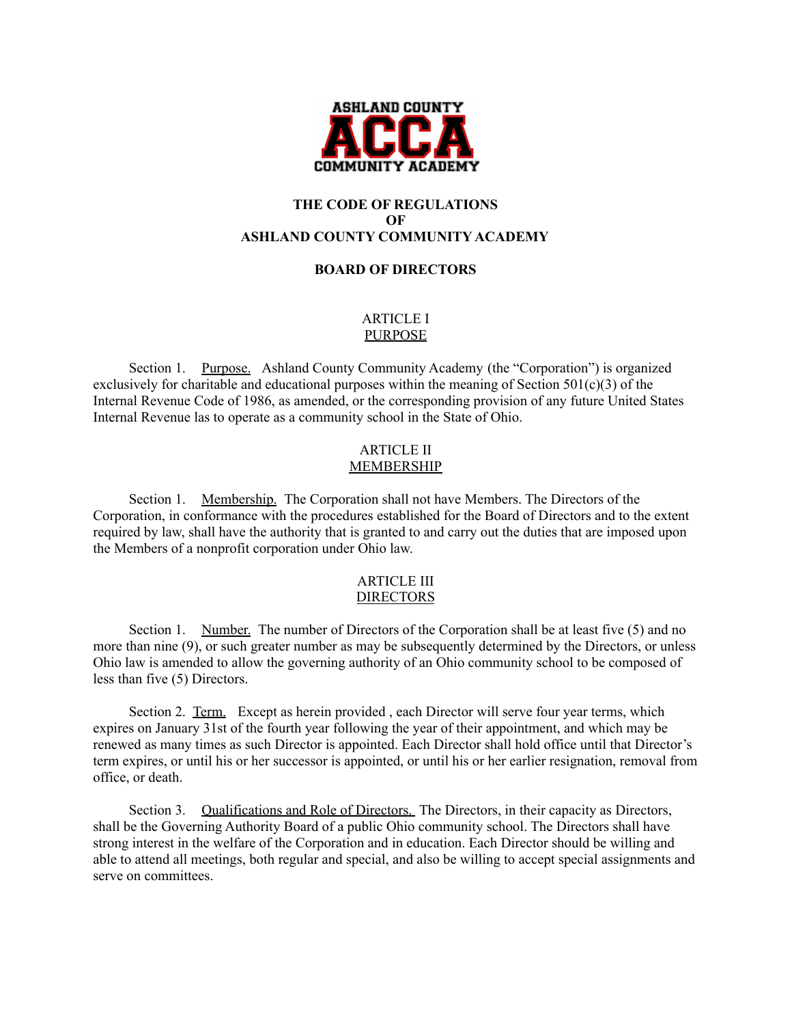

# **THE CODE OF REGULATIONS OF ASHLAND COUNTY COMMUNITY ACADEMY**

## **BOARD OF DIRECTORS**

## ARTICLE I PURPOSE

Section 1. Purpose. Ashland County Community Academy (the "Corporation") is organized exclusively for charitable and educational purposes within the meaning of Section 501(c)(3) of the Internal Revenue Code of 1986, as amended, or the corresponding provision of any future United States Internal Revenue las to operate as a community school in the State of Ohio.

## ARTICLE II MEMBERSHIP

Section 1. Membership. The Corporation shall not have Members. The Directors of the Corporation, in conformance with the procedures established for the Board of Directors and to the extent required by law, shall have the authority that is granted to and carry out the duties that are imposed upon the Members of a nonprofit corporation under Ohio law.

#### ARTICLE III DIRECTORS

Section 1. Number. The number of Directors of the Corporation shall be at least five (5) and no more than nine (9), or such greater number as may be subsequently determined by the Directors, or unless Ohio law is amended to allow the governing authority of an Ohio community school to be composed of less than five (5) Directors.

Section 2. Term. Except as herein provided, each Director will serve four year terms, which expires on January 31st of the fourth year following the year of their appointment, and which may be renewed as many times as such Director is appointed. Each Director shall hold office until that Director's term expires, or until his or her successor is appointed, or until his or her earlier resignation, removal from office, or death.

Section 3. Qualifications and Role of Directors. The Directors, in their capacity as Directors, shall be the Governing Authority Board of a public Ohio community school. The Directors shall have strong interest in the welfare of the Corporation and in education. Each Director should be willing and able to attend all meetings, both regular and special, and also be willing to accept special assignments and serve on committees.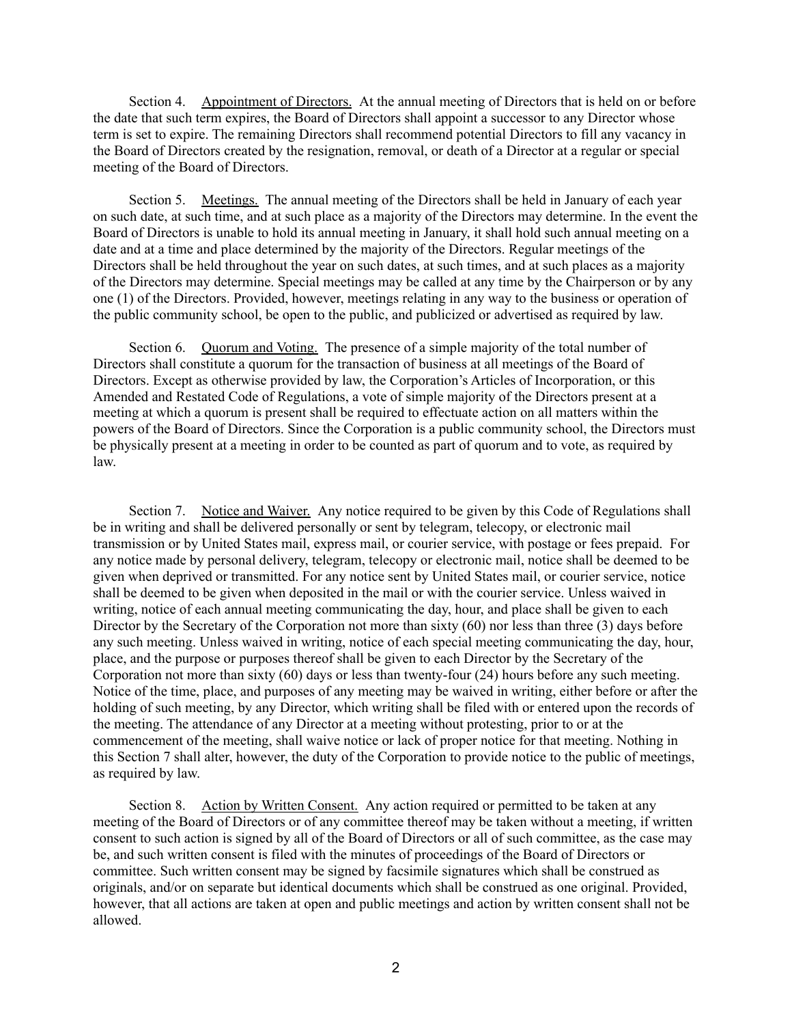Section 4. Appointment of Directors. At the annual meeting of Directors that is held on or before the date that such term expires, the Board of Directors shall appoint a successor to any Director whose term is set to expire. The remaining Directors shall recommend potential Directors to fill any vacancy in the Board of Directors created by the resignation, removal, or death of a Director at a regular or special meeting of the Board of Directors.

Section 5. Meetings. The annual meeting of the Directors shall be held in January of each year on such date, at such time, and at such place as a majority of the Directors may determine. In the event the Board of Directors is unable to hold its annual meeting in January, it shall hold such annual meeting on a date and at a time and place determined by the majority of the Directors. Regular meetings of the Directors shall be held throughout the year on such dates, at such times, and at such places as a majority of the Directors may determine. Special meetings may be called at any time by the Chairperson or by any one (1) of the Directors. Provided, however, meetings relating in any way to the business or operation of the public community school, be open to the public, and publicized or advertised as required by law.

Section 6. Quorum and Voting. The presence of a simple majority of the total number of Directors shall constitute a quorum for the transaction of business at all meetings of the Board of Directors. Except as otherwise provided by law, the Corporation's Articles of Incorporation, or this Amended and Restated Code of Regulations, a vote of simple majority of the Directors present at a meeting at which a quorum is present shall be required to effectuate action on all matters within the powers of the Board of Directors. Since the Corporation is a public community school, the Directors must be physically present at a meeting in order to be counted as part of quorum and to vote, as required by law.

Section 7. Notice and Waiver. Any notice required to be given by this Code of Regulations shall be in writing and shall be delivered personally or sent by telegram, telecopy, or electronic mail transmission or by United States mail, express mail, or courier service, with postage or fees prepaid. For any notice made by personal delivery, telegram, telecopy or electronic mail, notice shall be deemed to be given when deprived or transmitted. For any notice sent by United States mail, or courier service, notice shall be deemed to be given when deposited in the mail or with the courier service. Unless waived in writing, notice of each annual meeting communicating the day, hour, and place shall be given to each Director by the Secretary of the Corporation not more than sixty (60) nor less than three (3) days before any such meeting. Unless waived in writing, notice of each special meeting communicating the day, hour, place, and the purpose or purposes thereof shall be given to each Director by the Secretary of the Corporation not more than sixty (60) days or less than twenty-four (24) hours before any such meeting. Notice of the time, place, and purposes of any meeting may be waived in writing, either before or after the holding of such meeting, by any Director, which writing shall be filed with or entered upon the records of the meeting. The attendance of any Director at a meeting without protesting, prior to or at the commencement of the meeting, shall waive notice or lack of proper notice for that meeting. Nothing in this Section 7 shall alter, however, the duty of the Corporation to provide notice to the public of meetings, as required by law.

Section 8. Action by Written Consent. Any action required or permitted to be taken at any meeting of the Board of Directors or of any committee thereof may be taken without a meeting, if written consent to such action is signed by all of the Board of Directors or all of such committee, as the case may be, and such written consent is filed with the minutes of proceedings of the Board of Directors or committee. Such written consent may be signed by facsimile signatures which shall be construed as originals, and/or on separate but identical documents which shall be construed as one original. Provided, however, that all actions are taken at open and public meetings and action by written consent shall not be allowed.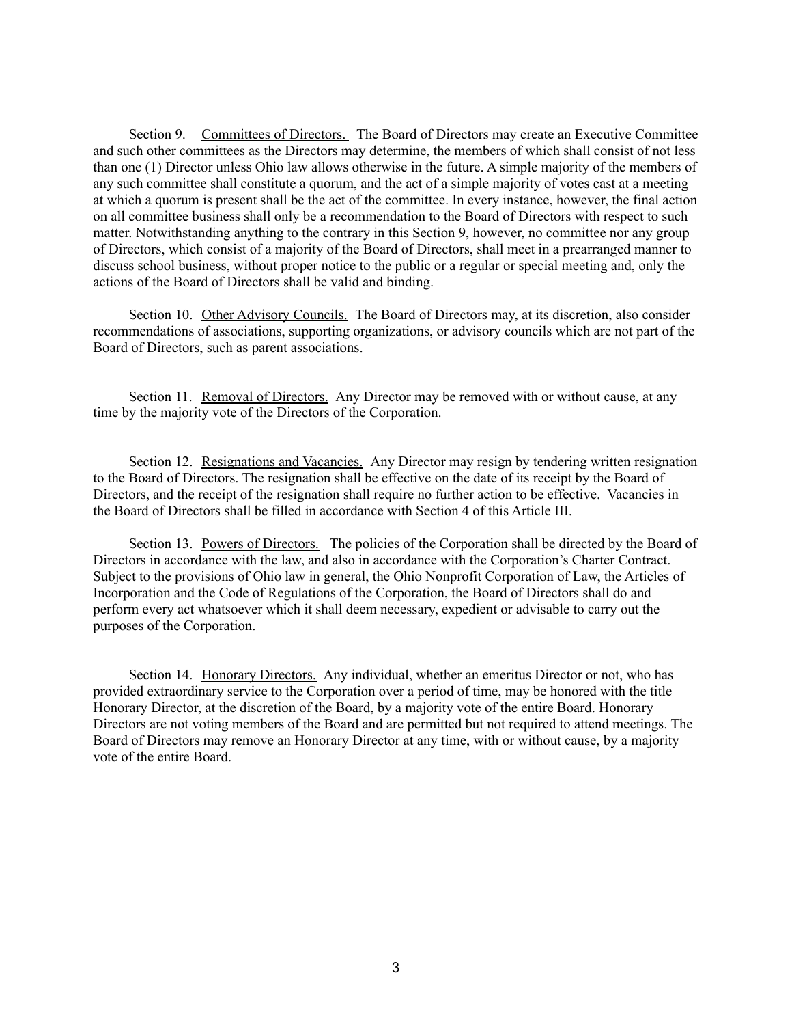Section 9. Committees of Directors. The Board of Directors may create an Executive Committee and such other committees as the Directors may determine, the members of which shall consist of not less than one (1) Director unless Ohio law allows otherwise in the future. A simple majority of the members of any such committee shall constitute a quorum, and the act of a simple majority of votes cast at a meeting at which a quorum is present shall be the act of the committee. In every instance, however, the final action on all committee business shall only be a recommendation to the Board of Directors with respect to such matter. Notwithstanding anything to the contrary in this Section 9, however, no committee nor any group of Directors, which consist of a majority of the Board of Directors, shall meet in a prearranged manner to discuss school business, without proper notice to the public or a regular or special meeting and, only the actions of the Board of Directors shall be valid and binding.

Section 10. Other Advisory Councils. The Board of Directors may, at its discretion, also consider recommendations of associations, supporting organizations, or advisory councils which are not part of the Board of Directors, such as parent associations.

Section 11. Removal of Directors. Any Director may be removed with or without cause, at any time by the majority vote of the Directors of the Corporation.

Section 12. Resignations and Vacancies. Any Director may resign by tendering written resignation to the Board of Directors. The resignation shall be effective on the date of its receipt by the Board of Directors, and the receipt of the resignation shall require no further action to be effective. Vacancies in the Board of Directors shall be filled in accordance with Section 4 of this Article III.

Section 13. Powers of Directors. The policies of the Corporation shall be directed by the Board of Directors in accordance with the law, and also in accordance with the Corporation's Charter Contract. Subject to the provisions of Ohio law in general, the Ohio Nonprofit Corporation of Law, the Articles of Incorporation and the Code of Regulations of the Corporation, the Board of Directors shall do and perform every act whatsoever which it shall deem necessary, expedient or advisable to carry out the purposes of the Corporation.

Section 14. Honorary Directors. Any individual, whether an emeritus Director or not, who has provided extraordinary service to the Corporation over a period of time, may be honored with the title Honorary Director, at the discretion of the Board, by a majority vote of the entire Board. Honorary Directors are not voting members of the Board and are permitted but not required to attend meetings. The Board of Directors may remove an Honorary Director at any time, with or without cause, by a majority vote of the entire Board.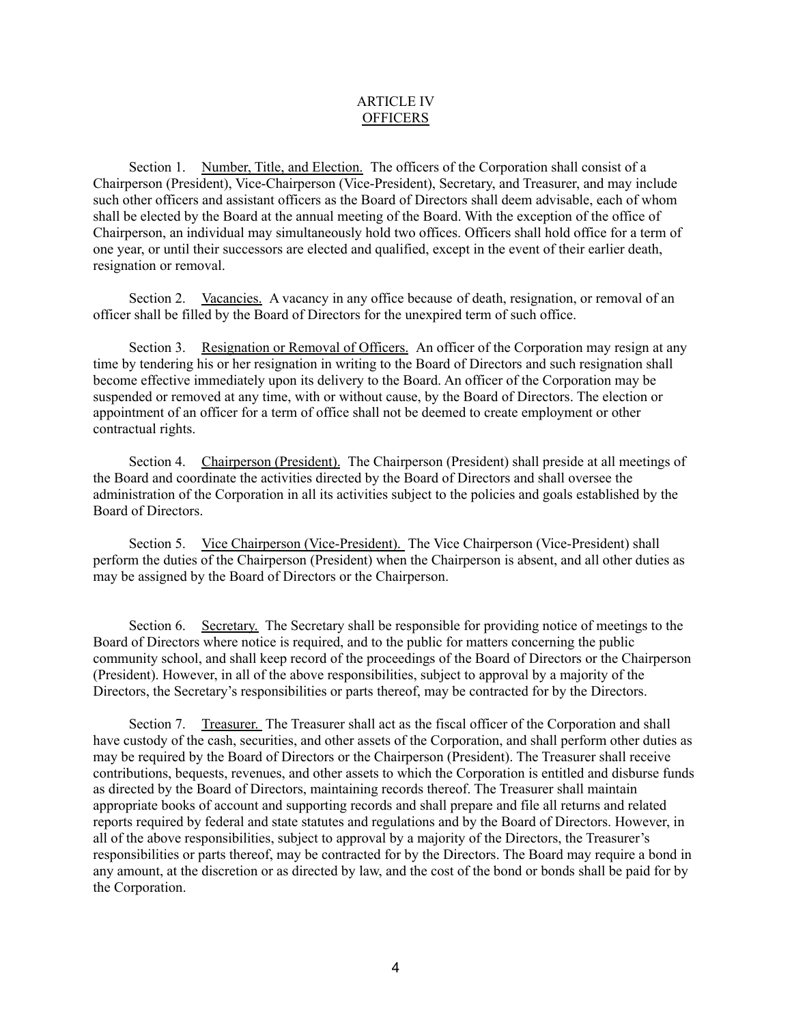### ARTICLE IV **OFFICERS**

Section 1. Number, Title, and Election. The officers of the Corporation shall consist of a Chairperson (President), Vice-Chairperson (Vice-President), Secretary, and Treasurer, and may include such other officers and assistant officers as the Board of Directors shall deem advisable, each of whom shall be elected by the Board at the annual meeting of the Board. With the exception of the office of Chairperson, an individual may simultaneously hold two offices. Officers shall hold office for a term of one year, or until their successors are elected and qualified, except in the event of their earlier death, resignation or removal.

Section 2. Vacancies. A vacancy in any office because of death, resignation, or removal of an officer shall be filled by the Board of Directors for the unexpired term of such office.

Section 3. Resignation or Removal of Officers. An officer of the Corporation may resign at any time by tendering his or her resignation in writing to the Board of Directors and such resignation shall become effective immediately upon its delivery to the Board. An officer of the Corporation may be suspended or removed at any time, with or without cause, by the Board of Directors. The election or appointment of an officer for a term of office shall not be deemed to create employment or other contractual rights.

Section 4. Chairperson (President). The Chairperson (President) shall preside at all meetings of the Board and coordinate the activities directed by the Board of Directors and shall oversee the administration of the Corporation in all its activities subject to the policies and goals established by the Board of Directors.

Section 5. Vice Chairperson (Vice-President). The Vice Chairperson (Vice-President) shall perform the duties of the Chairperson (President) when the Chairperson is absent, and all other duties as may be assigned by the Board of Directors or the Chairperson.

Section 6. Secretary. The Secretary shall be responsible for providing notice of meetings to the Board of Directors where notice is required, and to the public for matters concerning the public community school, and shall keep record of the proceedings of the Board of Directors or the Chairperson (President). However, in all of the above responsibilities, subject to approval by a majority of the Directors, the Secretary's responsibilities or parts thereof, may be contracted for by the Directors.

Section 7. Treasurer. The Treasurer shall act as the fiscal officer of the Corporation and shall have custody of the cash, securities, and other assets of the Corporation, and shall perform other duties as may be required by the Board of Directors or the Chairperson (President). The Treasurer shall receive contributions, bequests, revenues, and other assets to which the Corporation is entitled and disburse funds as directed by the Board of Directors, maintaining records thereof. The Treasurer shall maintain appropriate books of account and supporting records and shall prepare and file all returns and related reports required by federal and state statutes and regulations and by the Board of Directors. However, in all of the above responsibilities, subject to approval by a majority of the Directors, the Treasurer's responsibilities or parts thereof, may be contracted for by the Directors. The Board may require a bond in any amount, at the discretion or as directed by law, and the cost of the bond or bonds shall be paid for by the Corporation.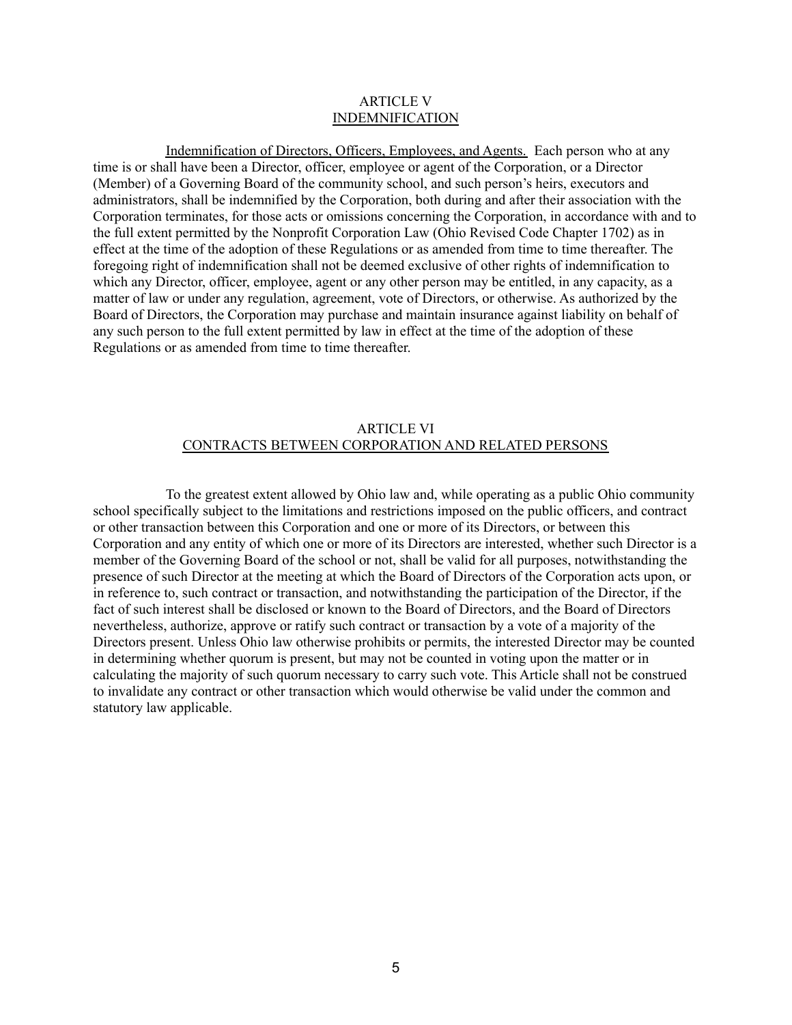#### ARTICLE V INDEMNIFICATION

Indemnification of Directors, Officers, Employees, and Agents. Each person who at any time is or shall have been a Director, officer, employee or agent of the Corporation, or a Director (Member) of a Governing Board of the community school, and such person's heirs, executors and administrators, shall be indemnified by the Corporation, both during and after their association with the Corporation terminates, for those acts or omissions concerning the Corporation, in accordance with and to the full extent permitted by the Nonprofit Corporation Law (Ohio Revised Code Chapter 1702) as in effect at the time of the adoption of these Regulations or as amended from time to time thereafter. The foregoing right of indemnification shall not be deemed exclusive of other rights of indemnification to which any Director, officer, employee, agent or any other person may be entitled, in any capacity, as a matter of law or under any regulation, agreement, vote of Directors, or otherwise. As authorized by the Board of Directors, the Corporation may purchase and maintain insurance against liability on behalf of any such person to the full extent permitted by law in effect at the time of the adoption of these Regulations or as amended from time to time thereafter.

## ARTICLE VI CONTRACTS BETWEEN CORPORATION AND RELATED PERSONS

To the greatest extent allowed by Ohio law and, while operating as a public Ohio community school specifically subject to the limitations and restrictions imposed on the public officers, and contract or other transaction between this Corporation and one or more of its Directors, or between this Corporation and any entity of which one or more of its Directors are interested, whether such Director is a member of the Governing Board of the school or not, shall be valid for all purposes, notwithstanding the presence of such Director at the meeting at which the Board of Directors of the Corporation acts upon, or in reference to, such contract or transaction, and notwithstanding the participation of the Director, if the fact of such interest shall be disclosed or known to the Board of Directors, and the Board of Directors nevertheless, authorize, approve or ratify such contract or transaction by a vote of a majority of the Directors present. Unless Ohio law otherwise prohibits or permits, the interested Director may be counted in determining whether quorum is present, but may not be counted in voting upon the matter or in calculating the majority of such quorum necessary to carry such vote. This Article shall not be construed to invalidate any contract or other transaction which would otherwise be valid under the common and statutory law applicable.